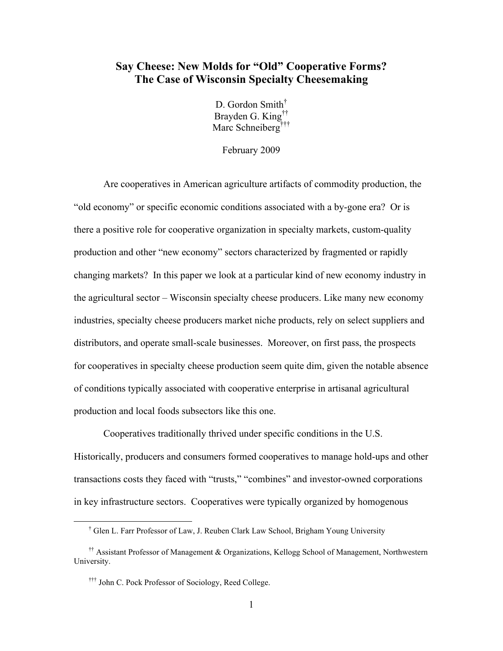# **Say Cheese: New Molds for "Old" Cooperative Forms? The Case of Wisconsin Specialty Cheesemaking**

D. Gordon Smith<sup>†</sup> Brayden G. King†† Marc Schneiberg<sup>†††</sup>

February 2009

Are cooperatives in American agriculture artifacts of commodity production, the "old economy" or specific economic conditions associated with a by-gone era? Or is there a positive role for cooperative organization in specialty markets, custom-quality production and other "new economy" sectors characterized by fragmented or rapidly changing markets? In this paper we look at a particular kind of new economy industry in the agricultural sector – Wisconsin specialty cheese producers. Like many new economy industries, specialty cheese producers market niche products, rely on select suppliers and distributors, and operate small-scale businesses. Moreover, on first pass, the prospects for cooperatives in specialty cheese production seem quite dim, given the notable absence of conditions typically associated with cooperative enterprise in artisanal agricultural production and local foods subsectors like this one.

Cooperatives traditionally thrived under specific conditions in the U.S. Historically, producers and consumers formed cooperatives to manage hold-ups and other transactions costs they faced with "trusts," "combines" and investor-owned corporations in key infrastructure sectors. Cooperatives were typically organized by homogenous

 <sup>†</sup> Glen L. Farr Professor of Law, J. Reuben Clark Law School, Brigham Young University

<sup>††</sup> Assistant Professor of Management & Organizations, Kellogg School of Management, Northwestern University.

<sup>†††</sup> John C. Pock Professor of Sociology, Reed College.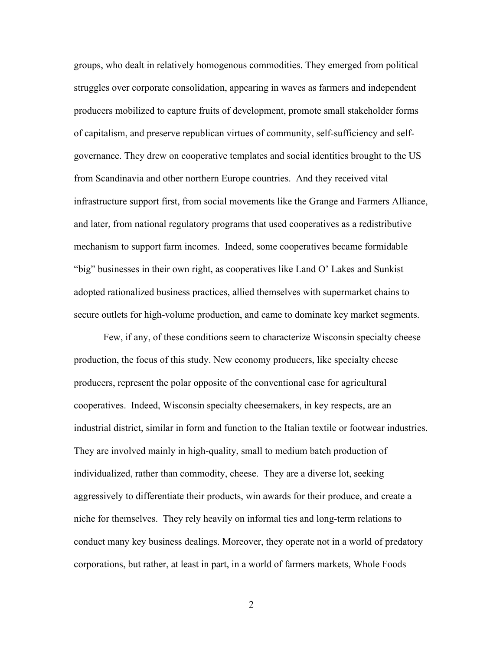groups, who dealt in relatively homogenous commodities. They emerged from political struggles over corporate consolidation, appearing in waves as farmers and independent producers mobilized to capture fruits of development, promote small stakeholder forms of capitalism, and preserve republican virtues of community, self-sufficiency and selfgovernance. They drew on cooperative templates and social identities brought to the US from Scandinavia and other northern Europe countries. And they received vital infrastructure support first, from social movements like the Grange and Farmers Alliance, and later, from national regulatory programs that used cooperatives as a redistributive mechanism to support farm incomes. Indeed, some cooperatives became formidable "big" businesses in their own right, as cooperatives like Land O' Lakes and Sunkist adopted rationalized business practices, allied themselves with supermarket chains to secure outlets for high-volume production, and came to dominate key market segments.

Few, if any, of these conditions seem to characterize Wisconsin specialty cheese production, the focus of this study. New economy producers, like specialty cheese producers, represent the polar opposite of the conventional case for agricultural cooperatives. Indeed, Wisconsin specialty cheesemakers, in key respects, are an industrial district, similar in form and function to the Italian textile or footwear industries. They are involved mainly in high-quality, small to medium batch production of individualized, rather than commodity, cheese. They are a diverse lot, seeking aggressively to differentiate their products, win awards for their produce, and create a niche for themselves. They rely heavily on informal ties and long-term relations to conduct many key business dealings. Moreover, they operate not in a world of predatory corporations, but rather, at least in part, in a world of farmers markets, Whole Foods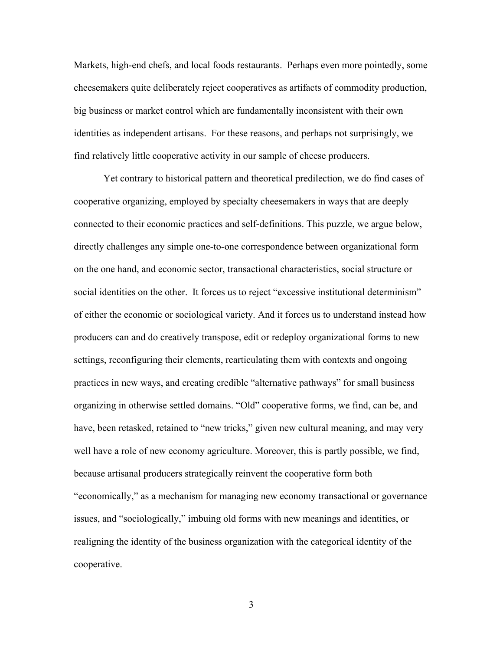Markets, high-end chefs, and local foods restaurants. Perhaps even more pointedly, some cheesemakers quite deliberately reject cooperatives as artifacts of commodity production, big business or market control which are fundamentally inconsistent with their own identities as independent artisans. For these reasons, and perhaps not surprisingly, we find relatively little cooperative activity in our sample of cheese producers.

Yet contrary to historical pattern and theoretical predilection, we do find cases of cooperative organizing, employed by specialty cheesemakers in ways that are deeply connected to their economic practices and self-definitions. This puzzle, we argue below, directly challenges any simple one-to-one correspondence between organizational form on the one hand, and economic sector, transactional characteristics, social structure or social identities on the other. It forces us to reject "excessive institutional determinism" of either the economic or sociological variety. And it forces us to understand instead how producers can and do creatively transpose, edit or redeploy organizational forms to new settings, reconfiguring their elements, rearticulating them with contexts and ongoing practices in new ways, and creating credible "alternative pathways" for small business organizing in otherwise settled domains. "Old" cooperative forms, we find, can be, and have, been retasked, retained to "new tricks," given new cultural meaning, and may very well have a role of new economy agriculture. Moreover, this is partly possible, we find, because artisanal producers strategically reinvent the cooperative form both "economically," as a mechanism for managing new economy transactional or governance issues, and "sociologically," imbuing old forms with new meanings and identities, or realigning the identity of the business organization with the categorical identity of the cooperative.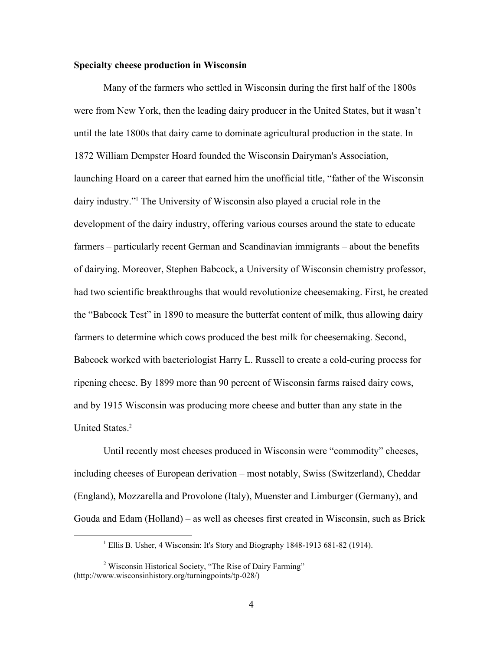# **Specialty cheese production in Wisconsin**

Many of the farmers who settled in Wisconsin during the first half of the 1800s were from New York, then the leading dairy producer in the United States, but it wasn't until the late 1800s that dairy came to dominate agricultural production in the state. In 1872 William Dempster Hoard founded the Wisconsin Dairyman's Association, launching Hoard on a career that earned him the unofficial title, "father of the Wisconsin dairy industry."1 The University of Wisconsin also played a crucial role in the development of the dairy industry, offering various courses around the state to educate farmers – particularly recent German and Scandinavian immigrants – about the benefits of dairying. Moreover, Stephen Babcock, a University of Wisconsin chemistry professor, had two scientific breakthroughs that would revolutionize cheesemaking. First, he created the "Babcock Test" in 1890 to measure the butterfat content of milk, thus allowing dairy farmers to determine which cows produced the best milk for cheesemaking. Second, Babcock worked with bacteriologist Harry L. Russell to create a cold-curing process for ripening cheese. By 1899 more than 90 percent of Wisconsin farms raised dairy cows, and by 1915 Wisconsin was producing more cheese and butter than any state in the United States.<sup>2</sup>

Until recently most cheeses produced in Wisconsin were "commodity" cheeses, including cheeses of European derivation – most notably, Swiss (Switzerland), Cheddar (England), Mozzarella and Provolone (Italy), Muenster and Limburger (Germany), and Gouda and Edam (Holland) – as well as cheeses first created in Wisconsin, such as Brick

 $\frac{1}{1}$ <sup>1</sup> Ellis B. Usher, 4 Wisconsin: It's Story and Biography 1848-1913 681-82 (1914).

<sup>&</sup>lt;sup>2</sup> Wisconsin Historical Society, "The Rise of Dairy Farming" (http://www.wisconsinhistory.org/turningpoints/tp-028/)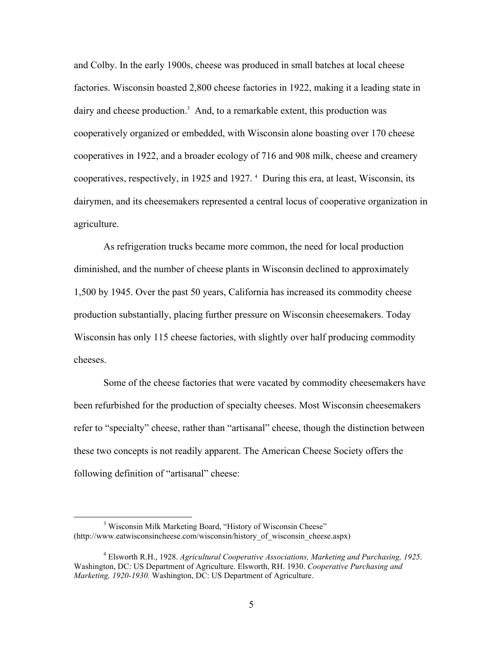and Colby. In the early 1900s, cheese was produced in small batches at local cheese factories. Wisconsin boasted 2,800 cheese factories in 1922, making it a leading state in dairy and cheese production.<sup>3</sup> And, to a remarkable extent, this production was cooperatively organized or embedded, with Wisconsin alone boasting over 170 cheese cooperatives in 1922, and a broader ecology of 716 and 908 milk, cheese and creamery cooperatives, respectively, in 1925 and 1927. 4 During this era, at least, Wisconsin, its dairymen, and its cheesemakers represented a central locus of cooperative organization in agriculture.

As refrigeration trucks became more common, the need for local production diminished, and the number of cheese plants in Wisconsin declined to approximately 1,500 by 1945. Over the past 50 years, California has increased its commodity cheese production substantially, placing further pressure on Wisconsin cheesemakers. Today Wisconsin has only 115 cheese factories, with slightly over half producing commodity cheeses.

Some of the cheese factories that were vacated by commodity cheesemakers have been refurbished for the production of specialty cheeses. Most Wisconsin cheesemakers refer to "specialty" cheese, rather than "artisanal" cheese, though the distinction between these two concepts is not readily apparent. The American Cheese Society offers the following definition of "artisanal" cheese:

 <sup>3</sup> <sup>3</sup> Wisconsin Milk Marketing Board, "History of Wisconsin Cheese" (http://www.eatwisconsincheese.com/wisconsin/history\_of\_wisconsin\_cheese.aspx)

<sup>4</sup> Elsworth R.H., 1928. *Agricultural Cooperative Associations, Marketing and Purchasing, 1925*. Washington, DC: US Department of Agriculture. Elsworth, RH. 1930. *Cooperative Purchasing and Marketing, 1920-1930.* Washington, DC: US Department of Agriculture.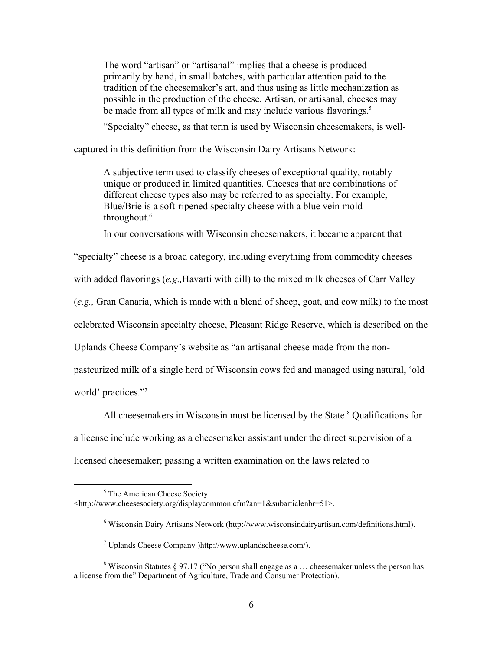The word "artisan" or "artisanal" implies that a cheese is produced primarily by hand, in small batches, with particular attention paid to the tradition of the cheesemaker's art, and thus using as little mechanization as possible in the production of the cheese. Artisan, or artisanal, cheeses may be made from all types of milk and may include various flavorings.<sup>5</sup>

"Specialty" cheese, as that term is used by Wisconsin cheesemakers, is well-

captured in this definition from the Wisconsin Dairy Artisans Network:

A subjective term used to classify cheeses of exceptional quality, notably unique or produced in limited quantities. Cheeses that are combinations of different cheese types also may be referred to as specialty. For example, Blue/Brie is a soft-ripened specialty cheese with a blue vein mold throughout.<sup>6</sup>

In our conversations with Wisconsin cheesemakers, it became apparent that

"specialty" cheese is a broad category, including everything from commodity cheeses

with added flavorings (*e.g.,*Havarti with dill) to the mixed milk cheeses of Carr Valley

(*e.g.,* Gran Canaria, which is made with a blend of sheep, goat, and cow milk) to the most

celebrated Wisconsin specialty cheese, Pleasant Ridge Reserve, which is described on the

Uplands Cheese Company's website as "an artisanal cheese made from the non-

pasteurized milk of a single herd of Wisconsin cows fed and managed using natural, 'old

world' practices."7

All cheesemakers in Wisconsin must be licensed by the State.<sup>8</sup> Qualifications for

a license include working as a cheesemaker assistant under the direct supervision of a

licensed cheesemaker; passing a written examination on the laws related to

 $rac{1}{5}$  $5$  The American Cheese Society

<sup>&</sup>lt;http://www.cheesesociety.org/displaycommon.cfm?an=1&subarticlenbr=51>.

<sup>&</sup>lt;sup>6</sup> Wisconsin Dairy Artisans Network (http://www.wisconsindairyartisan.com/definitions.html).

 $^7$  Uplands Cheese Company )http://www.uplandscheese.com/).

<sup>&</sup>lt;sup>8</sup> Wisconsin Statutes § 97.17 ("No person shall engage as a ... cheesemaker unless the person has a license from the" Department of Agriculture, Trade and Consumer Protection).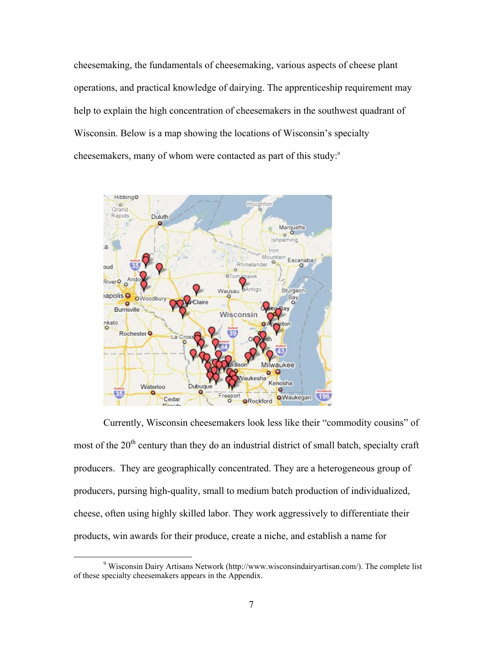cheesemaking, the fundamentals of cheesemaking, various aspects of cheese plant operations, and practical knowledge of dairying. The apprenticeship requirement may help to explain the high concentration of cheesemakers in the southwest quadrant of Wisconsin. Below is a map showing the locations of Wisconsin's specialty cheesemakers, many of whom were contacted as part of this study:<sup>9</sup>



Currently, Wisconsin cheesemakers look less like their "commodity cousins" of most of the  $20<sup>th</sup>$  century than they do an industrial district of small batch, specialty craft producers. They are geographically concentrated. They are a heterogeneous group of producers, pursing high-quality, small to medium batch production of individualized, cheese, often using highly skilled labor. They work aggressively to differentiate their products, win awards for their produce, create a niche, and establish a name for

 $\frac{1}{9}$ <sup>9</sup> Wisconsin Dairy Artisans Network (http://www.wisconsindairyartisan.com/). The complete list of these specialty cheesemakers appears in the Appendix.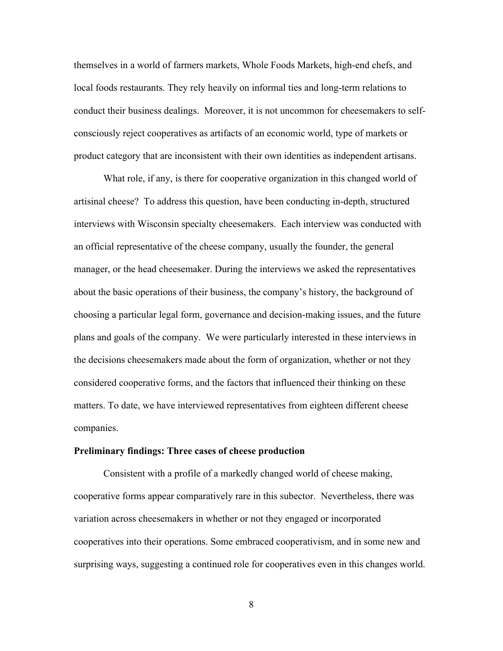themselves in a world of farmers markets, Whole Foods Markets, high-end chefs, and local foods restaurants. They rely heavily on informal ties and long-term relations to conduct their business dealings. Moreover, it is not uncommon for cheesemakers to selfconsciously reject cooperatives as artifacts of an economic world, type of markets or product category that are inconsistent with their own identities as independent artisans.

What role, if any, is there for cooperative organization in this changed world of artisinal cheese? To address this question, have been conducting in-depth, structured interviews with Wisconsin specialty cheesemakers. Each interview was conducted with an official representative of the cheese company, usually the founder, the general manager, or the head cheesemaker. During the interviews we asked the representatives about the basic operations of their business, the company's history, the background of choosing a particular legal form, governance and decision-making issues, and the future plans and goals of the company. We were particularly interested in these interviews in the decisions cheesemakers made about the form of organization, whether or not they considered cooperative forms, and the factors that influenced their thinking on these matters. To date, we have interviewed representatives from eighteen different cheese companies.

### **Preliminary findings: Three cases of cheese production**

Consistent with a profile of a markedly changed world of cheese making, cooperative forms appear comparatively rare in this subector. Nevertheless, there was variation across cheesemakers in whether or not they engaged or incorporated cooperatives into their operations. Some embraced cooperativism, and in some new and surprising ways, suggesting a continued role for cooperatives even in this changes world.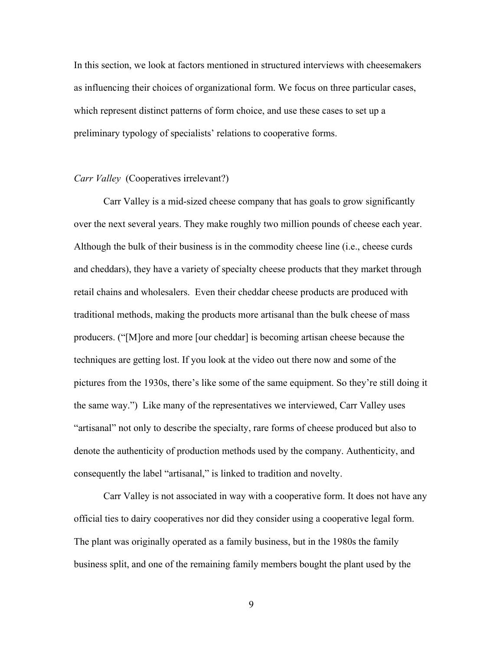In this section, we look at factors mentioned in structured interviews with cheesemakers as influencing their choices of organizational form. We focus on three particular cases, which represent distinct patterns of form choice, and use these cases to set up a preliminary typology of specialists' relations to cooperative forms.

# *Carr Valley* (Cooperatives irrelevant?)

Carr Valley is a mid-sized cheese company that has goals to grow significantly over the next several years. They make roughly two million pounds of cheese each year. Although the bulk of their business is in the commodity cheese line (i.e., cheese curds and cheddars), they have a variety of specialty cheese products that they market through retail chains and wholesalers. Even their cheddar cheese products are produced with traditional methods, making the products more artisanal than the bulk cheese of mass producers. ("[M]ore and more [our cheddar] is becoming artisan cheese because the techniques are getting lost. If you look at the video out there now and some of the pictures from the 1930s, there's like some of the same equipment. So they're still doing it the same way.") Like many of the representatives we interviewed, Carr Valley uses "artisanal" not only to describe the specialty, rare forms of cheese produced but also to denote the authenticity of production methods used by the company. Authenticity, and consequently the label "artisanal," is linked to tradition and novelty.

Carr Valley is not associated in way with a cooperative form. It does not have any official ties to dairy cooperatives nor did they consider using a cooperative legal form. The plant was originally operated as a family business, but in the 1980s the family business split, and one of the remaining family members bought the plant used by the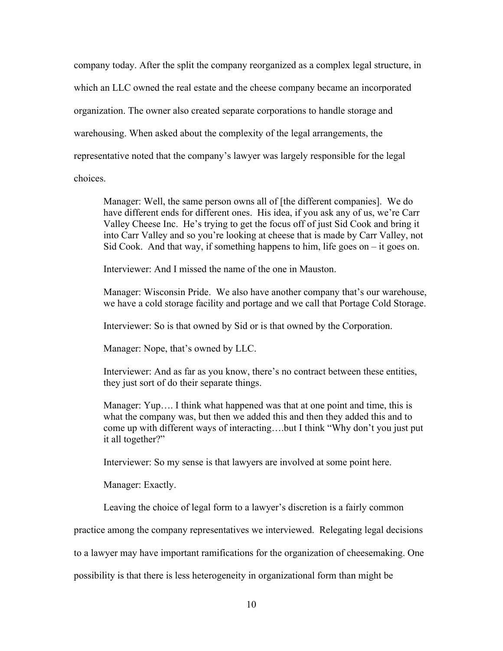company today. After the split the company reorganized as a complex legal structure, in which an LLC owned the real estate and the cheese company became an incorporated organization. The owner also created separate corporations to handle storage and warehousing. When asked about the complexity of the legal arrangements, the representative noted that the company's lawyer was largely responsible for the legal choices.

Manager: Well, the same person owns all of [the different companies]. We do have different ends for different ones. His idea, if you ask any of us, we're Carr Valley Cheese Inc. He's trying to get the focus off of just Sid Cook and bring it into Carr Valley and so you're looking at cheese that is made by Carr Valley, not Sid Cook. And that way, if something happens to him, life goes on  $-$  it goes on.

Interviewer: And I missed the name of the one in Mauston.

Manager: Wisconsin Pride. We also have another company that's our warehouse, we have a cold storage facility and portage and we call that Portage Cold Storage.

Interviewer: So is that owned by Sid or is that owned by the Corporation.

Manager: Nope, that's owned by LLC.

Interviewer: And as far as you know, there's no contract between these entities, they just sort of do their separate things.

Manager: Yup…. I think what happened was that at one point and time, this is what the company was, but then we added this and then they added this and to come up with different ways of interacting….but I think "Why don't you just put it all together?"

Interviewer: So my sense is that lawyers are involved at some point here.

Manager: Exactly.

Leaving the choice of legal form to a lawyer's discretion is a fairly common

practice among the company representatives we interviewed. Relegating legal decisions

to a lawyer may have important ramifications for the organization of cheesemaking. One

possibility is that there is less heterogeneity in organizational form than might be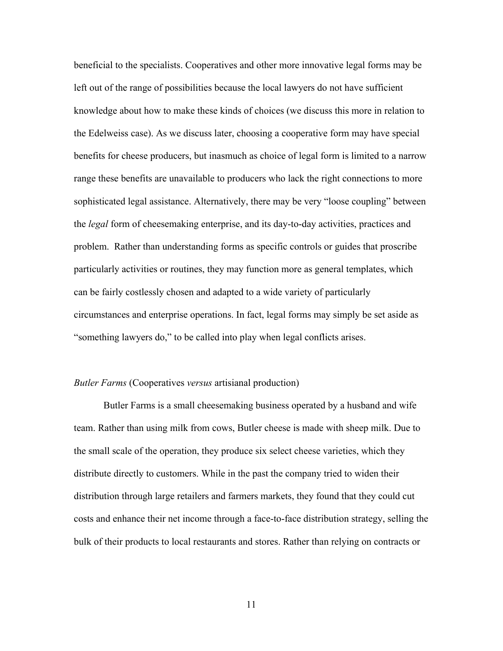beneficial to the specialists. Cooperatives and other more innovative legal forms may be left out of the range of possibilities because the local lawyers do not have sufficient knowledge about how to make these kinds of choices (we discuss this more in relation to the Edelweiss case). As we discuss later, choosing a cooperative form may have special benefits for cheese producers, but inasmuch as choice of legal form is limited to a narrow range these benefits are unavailable to producers who lack the right connections to more sophisticated legal assistance. Alternatively, there may be very "loose coupling" between the *legal* form of cheesemaking enterprise, and its day-to-day activities, practices and problem. Rather than understanding forms as specific controls or guides that proscribe particularly activities or routines, they may function more as general templates, which can be fairly costlessly chosen and adapted to a wide variety of particularly circumstances and enterprise operations. In fact, legal forms may simply be set aside as "something lawyers do," to be called into play when legal conflicts arises.

### *Butler Farms* (Cooperatives *versus* artisianal production)

Butler Farms is a small cheesemaking business operated by a husband and wife team. Rather than using milk from cows, Butler cheese is made with sheep milk. Due to the small scale of the operation, they produce six select cheese varieties, which they distribute directly to customers. While in the past the company tried to widen their distribution through large retailers and farmers markets, they found that they could cut costs and enhance their net income through a face-to-face distribution strategy, selling the bulk of their products to local restaurants and stores. Rather than relying on contracts or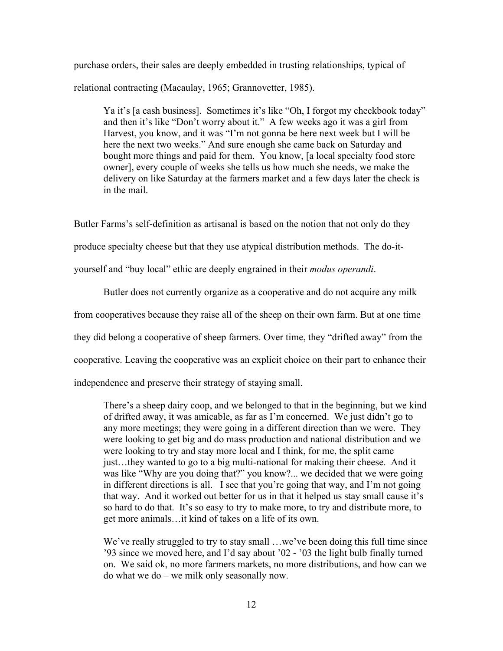purchase orders, their sales are deeply embedded in trusting relationships, typical of relational contracting (Macaulay, 1965; Grannovetter, 1985).

Ya it's [a cash business]. Sometimes it's like "Oh, I forgot my checkbook today" and then it's like "Don't worry about it." A few weeks ago it was a girl from Harvest, you know, and it was "I'm not gonna be here next week but I will be here the next two weeks." And sure enough she came back on Saturday and bought more things and paid for them. You know, [a local specialty food store owner], every couple of weeks she tells us how much she needs, we make the delivery on like Saturday at the farmers market and a few days later the check is in the mail.

Butler Farms's self-definition as artisanal is based on the notion that not only do they

produce specialty cheese but that they use atypical distribution methods. The do-it-

yourself and "buy local" ethic are deeply engrained in their *modus operandi*.

Butler does not currently organize as a cooperative and do not acquire any milk from cooperatives because they raise all of the sheep on their own farm. But at one time they did belong a cooperative of sheep farmers. Over time, they "drifted away" from the cooperative. Leaving the cooperative was an explicit choice on their part to enhance their independence and preserve their strategy of staying small.

There's a sheep dairy coop, and we belonged to that in the beginning, but we kind of drifted away, it was amicable, as far as I'm concerned. We just didn't go to any more meetings; they were going in a different direction than we were. They were looking to get big and do mass production and national distribution and we were looking to try and stay more local and I think, for me, the split came just…they wanted to go to a big multi-national for making their cheese. And it was like "Why are you doing that?" you know?... we decided that we were going in different directions is all. I see that you're going that way, and I'm not going that way. And it worked out better for us in that it helped us stay small cause it's so hard to do that. It's so easy to try to make more, to try and distribute more, to get more animals…it kind of takes on a life of its own.

We've really struggled to try to stay small …we've been doing this full time since '93 since we moved here, and I'd say about '02 - '03 the light bulb finally turned on. We said ok, no more farmers markets, no more distributions, and how can we do what we do – we milk only seasonally now.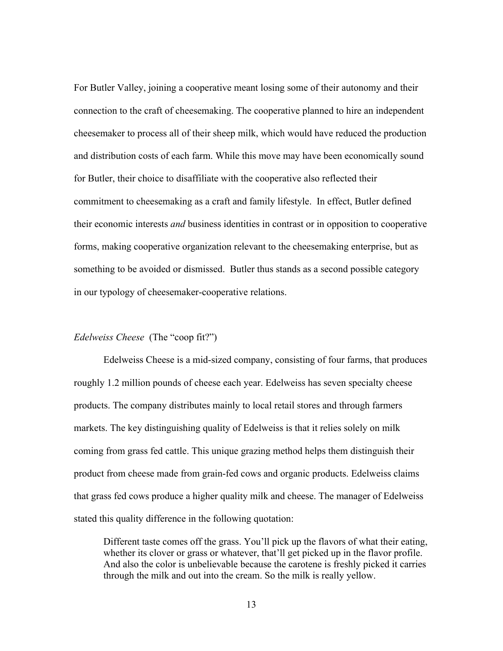For Butler Valley, joining a cooperative meant losing some of their autonomy and their connection to the craft of cheesemaking. The cooperative planned to hire an independent cheesemaker to process all of their sheep milk, which would have reduced the production and distribution costs of each farm. While this move may have been economically sound for Butler, their choice to disaffiliate with the cooperative also reflected their commitment to cheesemaking as a craft and family lifestyle. In effect, Butler defined their economic interests *and* business identities in contrast or in opposition to cooperative forms, making cooperative organization relevant to the cheesemaking enterprise, but as something to be avoided or dismissed. Butler thus stands as a second possible category in our typology of cheesemaker-cooperative relations.

# *Edelweiss Cheese* (The "coop fit?")

Edelweiss Cheese is a mid-sized company, consisting of four farms, that produces roughly 1.2 million pounds of cheese each year. Edelweiss has seven specialty cheese products. The company distributes mainly to local retail stores and through farmers markets. The key distinguishing quality of Edelweiss is that it relies solely on milk coming from grass fed cattle. This unique grazing method helps them distinguish their product from cheese made from grain-fed cows and organic products. Edelweiss claims that grass fed cows produce a higher quality milk and cheese. The manager of Edelweiss stated this quality difference in the following quotation:

Different taste comes off the grass. You'll pick up the flavors of what their eating, whether its clover or grass or whatever, that'll get picked up in the flavor profile. And also the color is unbelievable because the carotene is freshly picked it carries through the milk and out into the cream. So the milk is really yellow.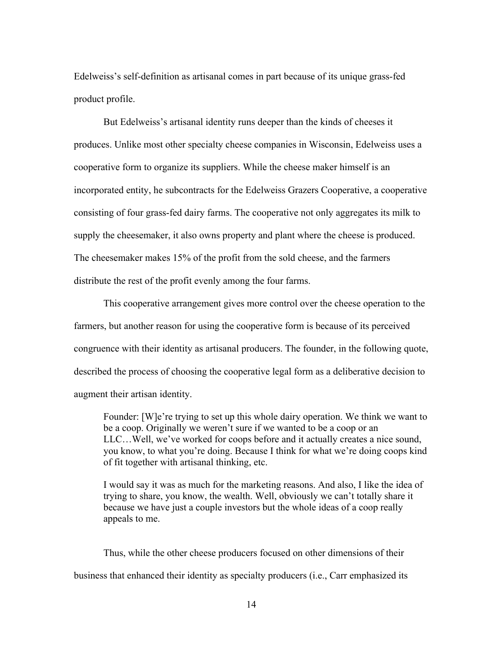Edelweiss's self-definition as artisanal comes in part because of its unique grass-fed product profile.

But Edelweiss's artisanal identity runs deeper than the kinds of cheeses it produces. Unlike most other specialty cheese companies in Wisconsin, Edelweiss uses a cooperative form to organize its suppliers. While the cheese maker himself is an incorporated entity, he subcontracts for the Edelweiss Grazers Cooperative, a cooperative consisting of four grass-fed dairy farms. The cooperative not only aggregates its milk to supply the cheesemaker, it also owns property and plant where the cheese is produced. The cheesemaker makes 15% of the profit from the sold cheese, and the farmers distribute the rest of the profit evenly among the four farms.

This cooperative arrangement gives more control over the cheese operation to the farmers, but another reason for using the cooperative form is because of its perceived congruence with their identity as artisanal producers. The founder, in the following quote, described the process of choosing the cooperative legal form as a deliberative decision to augment their artisan identity.

Founder: [W]e're trying to set up this whole dairy operation. We think we want to be a coop. Originally we weren't sure if we wanted to be a coop or an LLC…Well, we've worked for coops before and it actually creates a nice sound, you know, to what you're doing. Because I think for what we're doing coops kind of fit together with artisanal thinking, etc.

I would say it was as much for the marketing reasons. And also, I like the idea of trying to share, you know, the wealth. Well, obviously we can't totally share it because we have just a couple investors but the whole ideas of a coop really appeals to me.

Thus, while the other cheese producers focused on other dimensions of their business that enhanced their identity as specialty producers (i.e., Carr emphasized its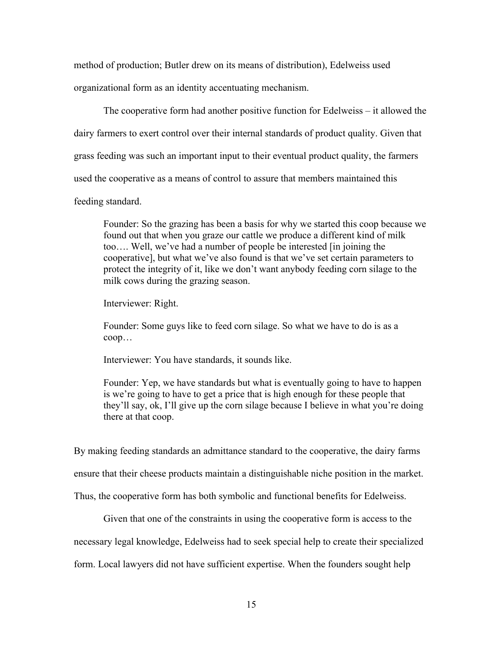method of production; Butler drew on its means of distribution), Edelweiss used organizational form as an identity accentuating mechanism.

The cooperative form had another positive function for Edelweiss – it allowed the dairy farmers to exert control over their internal standards of product quality. Given that grass feeding was such an important input to their eventual product quality, the farmers used the cooperative as a means of control to assure that members maintained this

feeding standard.

Founder: So the grazing has been a basis for why we started this coop because we found out that when you graze our cattle we produce a different kind of milk too…. Well, we've had a number of people be interested [in joining the cooperative], but what we've also found is that we've set certain parameters to protect the integrity of it, like we don't want anybody feeding corn silage to the milk cows during the grazing season.

Interviewer: Right.

Founder: Some guys like to feed corn silage. So what we have to do is as a coop…

Interviewer: You have standards, it sounds like.

Founder: Yep, we have standards but what is eventually going to have to happen is we're going to have to get a price that is high enough for these people that they'll say, ok, I'll give up the corn silage because I believe in what you're doing there at that coop.

By making feeding standards an admittance standard to the cooperative, the dairy farms ensure that their cheese products maintain a distinguishable niche position in the market. Thus, the cooperative form has both symbolic and functional benefits for Edelweiss.

Given that one of the constraints in using the cooperative form is access to the

necessary legal knowledge, Edelweiss had to seek special help to create their specialized

form. Local lawyers did not have sufficient expertise. When the founders sought help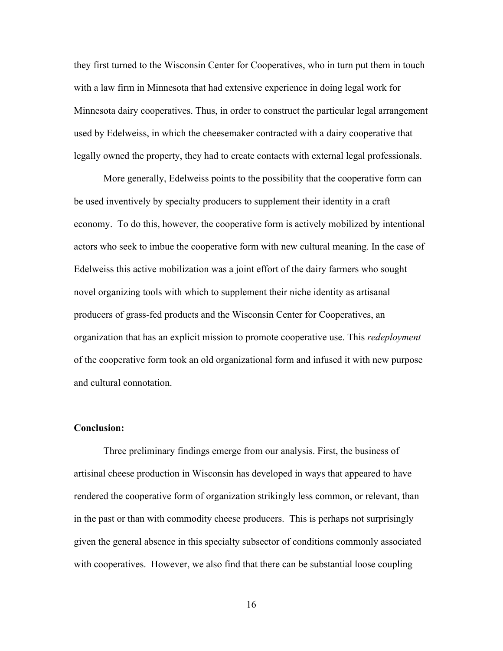they first turned to the Wisconsin Center for Cooperatives, who in turn put them in touch with a law firm in Minnesota that had extensive experience in doing legal work for Minnesota dairy cooperatives. Thus, in order to construct the particular legal arrangement used by Edelweiss, in which the cheesemaker contracted with a dairy cooperative that legally owned the property, they had to create contacts with external legal professionals.

More generally, Edelweiss points to the possibility that the cooperative form can be used inventively by specialty producers to supplement their identity in a craft economy. To do this, however, the cooperative form is actively mobilized by intentional actors who seek to imbue the cooperative form with new cultural meaning. In the case of Edelweiss this active mobilization was a joint effort of the dairy farmers who sought novel organizing tools with which to supplement their niche identity as artisanal producers of grass-fed products and the Wisconsin Center for Cooperatives, an organization that has an explicit mission to promote cooperative use. This *redeployment*  of the cooperative form took an old organizational form and infused it with new purpose and cultural connotation.

### **Conclusion:**

Three preliminary findings emerge from our analysis. First, the business of artisinal cheese production in Wisconsin has developed in ways that appeared to have rendered the cooperative form of organization strikingly less common, or relevant, than in the past or than with commodity cheese producers. This is perhaps not surprisingly given the general absence in this specialty subsector of conditions commonly associated with cooperatives. However, we also find that there can be substantial loose coupling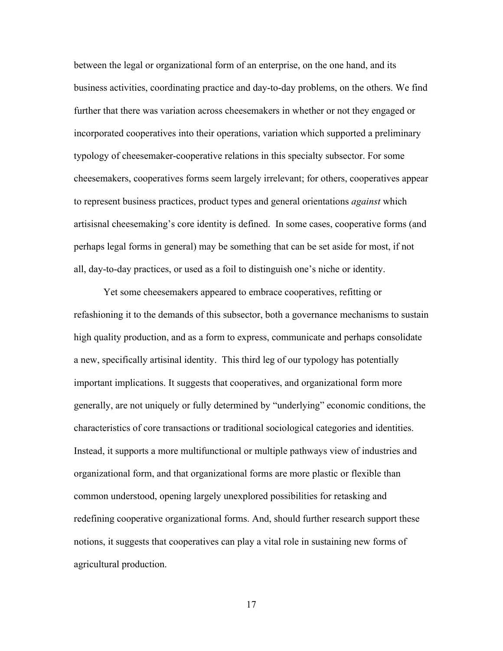between the legal or organizational form of an enterprise, on the one hand, and its business activities, coordinating practice and day-to-day problems, on the others. We find further that there was variation across cheesemakers in whether or not they engaged or incorporated cooperatives into their operations, variation which supported a preliminary typology of cheesemaker-cooperative relations in this specialty subsector. For some cheesemakers, cooperatives forms seem largely irrelevant; for others, cooperatives appear to represent business practices, product types and general orientations *against* which artisisnal cheesemaking's core identity is defined. In some cases, cooperative forms (and perhaps legal forms in general) may be something that can be set aside for most, if not all, day-to-day practices, or used as a foil to distinguish one's niche or identity.

Yet some cheesemakers appeared to embrace cooperatives, refitting or refashioning it to the demands of this subsector, both a governance mechanisms to sustain high quality production, and as a form to express, communicate and perhaps consolidate a new, specifically artisinal identity. This third leg of our typology has potentially important implications. It suggests that cooperatives, and organizational form more generally, are not uniquely or fully determined by "underlying" economic conditions, the characteristics of core transactions or traditional sociological categories and identities. Instead, it supports a more multifunctional or multiple pathways view of industries and organizational form, and that organizational forms are more plastic or flexible than common understood, opening largely unexplored possibilities for retasking and redefining cooperative organizational forms. And, should further research support these notions, it suggests that cooperatives can play a vital role in sustaining new forms of agricultural production.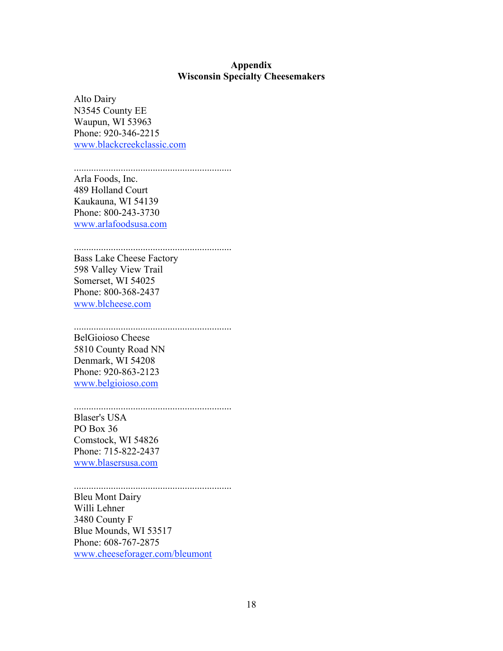# **Appendix Wisconsin Specialty Cheesemakers**

Alto Dairy N3545 County EE Waupun, WI 53963 Phone: 920-346-2215 www.blackcreekclassic.com

................................................................

Arla Foods, Inc. 489 Holland Court Kaukauna, WI 54139 Phone: 800-243-3730 www.arlafoodsusa.com

................................................................ Bass Lake Cheese Factory 598 Valley View Trail Somerset, WI 54025 Phone: 800-368-2437

www.blcheese.com

................................................................ BelGioioso Cheese 5810 County Road NN Denmark, WI 54208 Phone: 920-863-2123 www.belgioioso.com

................................................................ Blaser's USA PO Box 36 Comstock, WI 54826 Phone: 715-822-2437 www.blasersusa.com

................................................................ Bleu Mont Dairy Willi Lehner 3480 County F Blue Mounds, WI 53517 Phone: 608-767-2875 www.cheeseforager.com/bleumont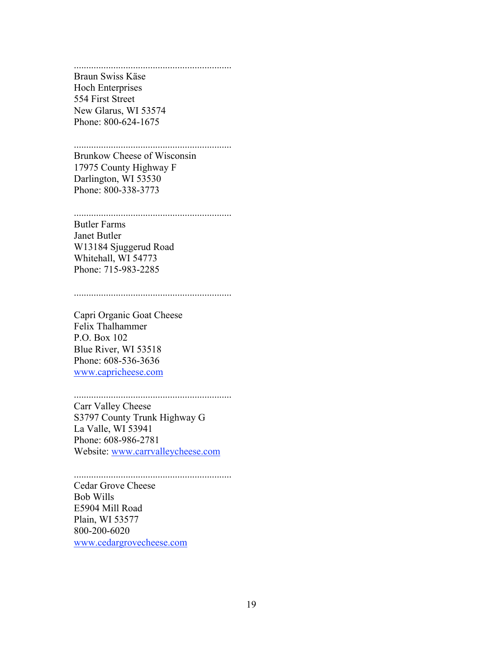................................................................ Braun Swiss Käse Hoch Enterprises 554 First Street New Glarus, WI 53574 Phone: 800-624-1675

### ................................................................

Brunkow Cheese of Wisconsin 17975 County Highway F Darlington, WI 53530 Phone: 800-338-3773

#### ................................................................

Butler Farms Janet Butler W13184 Sjuggerud Road Whitehall, WI 54773 Phone: 715-983-2285

................................................................

Capri Organic Goat Cheese Felix Thalhammer P.O. Box 102 Blue River, WI 53518 Phone: 608-536-3636 www.capricheese.com

### ................................................................

Carr Valley Cheese S3797 County Trunk Highway G La Valle, WI 53941 Phone: 608-986-2781 Website: www.carrvalleycheese.com

................................................................ Cedar Grove Cheese Bob Wills E5904 Mill Road Plain, WI 53577 800-200-6020 www.cedargrovecheese.com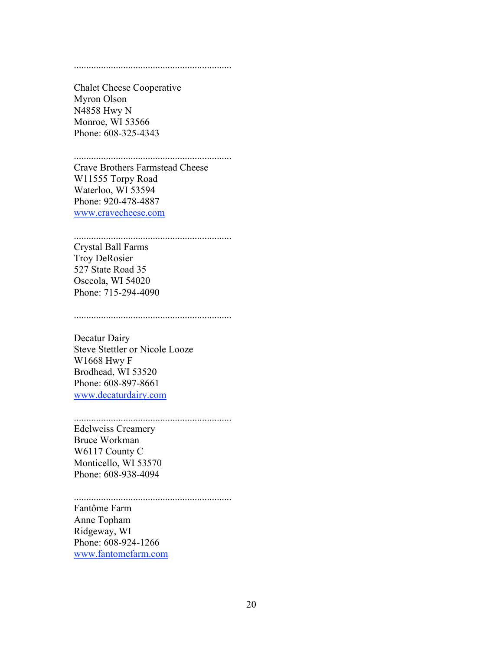#### ................................................................

Chalet Cheese Cooperative Myron Olson N4858 Hwy N Monroe, WI 53566 Phone: 608-325-4343

................................................................

Crave Brothers Farmstead Cheese W11555 Torpy Road Waterloo, WI 53594 Phone: 920-478-4887 www.cravecheese.com

# ................................................................

Crystal Ball Farms Troy DeRosier 527 State Road 35 Osceola, WI 54020 Phone: 715-294-4090

................................................................

Decatur Dairy Steve Stettler or Nicole Looze W1668 Hwy F Brodhead, WI 53520 Phone: 608-897-8661 www.decaturdairy.com

................................................................ Edelweiss Creamery Bruce Workman W6117 County C Monticello, WI 53570 Phone: 608-938-4094

................................................................ Fantôme Farm Anne Topham Ridgeway, WI Phone: 608-924-1266 www.fantomefarm.com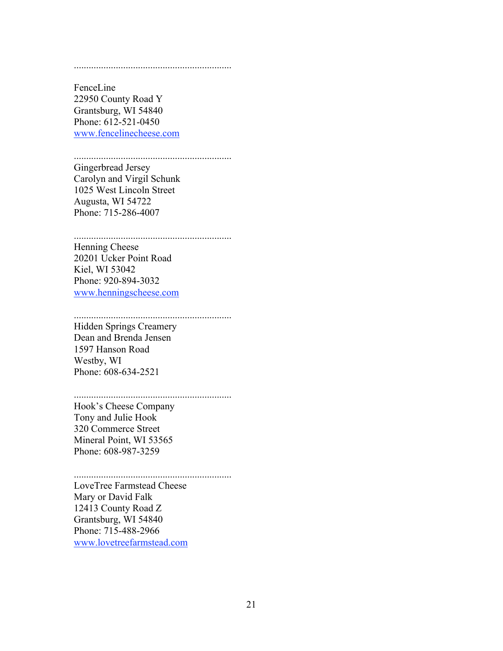#### ................................................................

FenceLine 22950 County Road Y Grantsburg, WI 54840 Phone: 612-521-0450 www.fencelinecheese.com

#### ................................................................ Gingerbread Jersey

Carolyn and Virgil Schunk 1025 West Lincoln Street Augusta, WI 54722 Phone: 715-286-4007

# ................................................................

Henning Cheese 20201 Ucker Point Road Kiel, WI 53042 Phone: 920-894-3032 www.henningscheese.com

# ................................................................

Hidden Springs Creamery Dean and Brenda Jensen 1597 Hanson Road Westby, WI Phone: 608-634-2521

# ................................................................

Hook's Cheese Company Tony and Julie Hook 320 Commerce Street Mineral Point, WI 53565 Phone: 608-987-3259

#### ................................................................ LoveTree Farmstead Cheese

Mary or David Falk 12413 County Road Z Grantsburg, WI 54840 Phone: 715-488-2966 www.lovetreefarmstead.com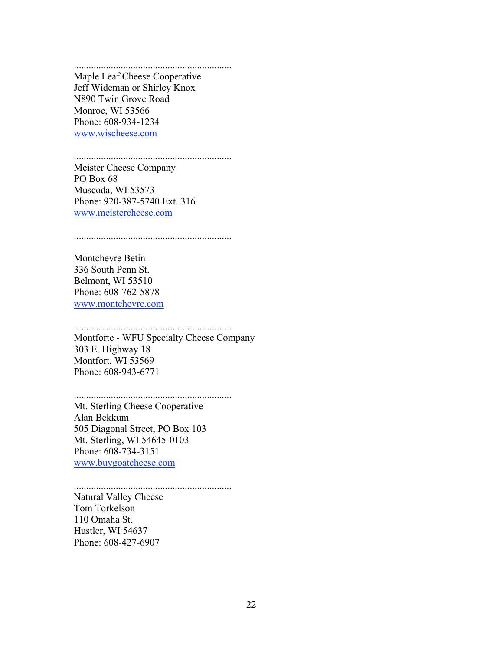................................................................ Maple Leaf Cheese Cooperative Jeff Wideman or Shirley Knox N890 Twin Grove Road Monroe, WI 53566 Phone: 608-934-1234 www.wischeese.com

................................................................

Meister Cheese Company PO Box 68 Muscoda, WI 53573 Phone: 920-387-5740 Ext. 316 www.meistercheese.com

................................................................

Montchevre Betin 336 South Penn St. Belmont, WI 53510 Phone: 608-762-5878 www.montchevre.com

................................................................ Montforte - WFU Specialty Cheese Company 303 E. Highway 18 Montfort, WI 53569 Phone: 608-943-6771

................................................................ Mt. Sterling Cheese Cooperative

Alan Bekkum 505 Diagonal Street, PO Box 103 Mt. Sterling, WI 54645-0103 Phone: 608-734-3151 www.buygoatcheese.com

................................................................ Natural Valley Cheese Tom Torkelson 110 Omaha St. Hustler, WI 54637 Phone: 608-427-6907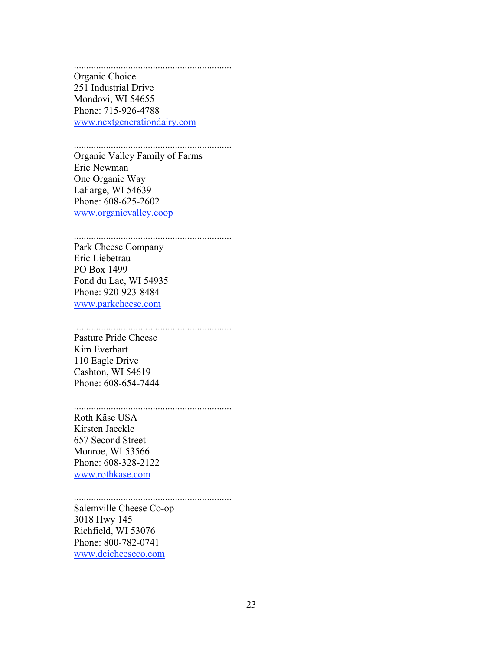................................................................ Organic Choice 251 Industrial Drive Mondovi, WI 54655 Phone: 715-926-4788 www.nextgenerationdairy.com

................................................................

Organic Valley Family of Farms Eric Newman One Organic Way LaFarge, WI 54639 Phone: 608-625-2602 www.organicvalley.coop

................................................................

Park Cheese Company Eric Liebetrau PO Box 1499 Fond du Lac, WI 54935 Phone: 920-923-8484 www.parkcheese.com

................................................................

Pasture Pride Cheese Kim Everhart 110 Eagle Drive Cashton, WI 54619 Phone: 608-654-7444

................................................................

Roth Käse USA Kirsten Jaeckle 657 Second Street Monroe, WI 53566 Phone: 608-328-2122 www.rothkase.com

................................................................ Salemville Cheese Co-op 3018 Hwy 145 Richfield, WI 53076 Phone: 800-782-0741 www.dcicheeseco.com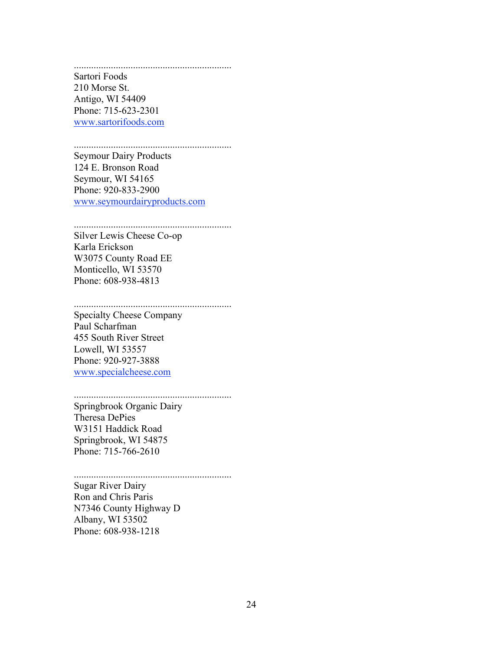................................................................ Sartori Foods 210 Morse St. Antigo, WI 54409 Phone: 715-623-2301 www.sartorifoods.com

### ................................................................

Seymour Dairy Products 124 E. Bronson Road Seymour, WI 54165 Phone: 920-833-2900 www.seymourdairyproducts.com

................................................................

Silver Lewis Cheese Co-op Karla Erickson W3075 County Road EE Monticello, WI 53570 Phone: 608-938-4813

................................................................

Specialty Cheese Company Paul Scharfman 455 South River Street Lowell, WI 53557 Phone: 920-927-3888 www.specialcheese.com

#### ................................................................ Springbrook Organic Dairy

................................................................

Theresa DePies W3151 Haddick Road Springbrook, WI 54875 Phone: 715-766-2610

Sugar River Dairy Ron and Chris Paris N7346 County Highway D Albany, WI 53502 Phone: 608-938-1218